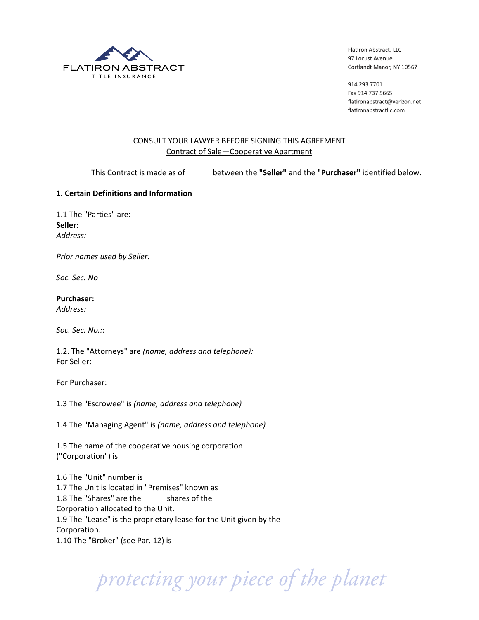

914 293 7701 Fax 914 737 5665 flatironabstract@verizon.net flatironabstractllc.com

# CONSULT YOUR LAWYER BEFORE SIGNING THIS AGREEMENT Contract of Sale-Cooperative Apartment

!!!!!!!!!!!!!!!!!!This!Contract!is!made!as!of!! !between!the!**"Seller"**!and!the!**"Purchaser"**!identified!below.

# **1..Certain.Definitions.and.Information.**

1.1 The "Parties" are: **Seller:.** *Address:*

**Prior names used by Seller:** 

*Soc.\*Sec.\*No\**

**Purchaser:.**

*Address:\**

Soc. Sec. No.::

1.2. The "Attorneys" are *(name, address and telephone):* For Seller:

For Purchaser:

1.3 The "Escrowee" is *(name, address and telephone)* 

1.4 The "Managing Agent" is *(name, address and telephone)* 

1.5 The name of the cooperative housing corporation ("Corporation") is

1.6 The "Unit" number is 1.7 The Unit is located in "Premises" known as 1.8 The "Shares" are the shares of the Corporation allocated to the Unit. 1.9 The "Lease" is the proprietary lease for the Unit given by the Corporation. 1.10 The "Broker" (see Par. 12) is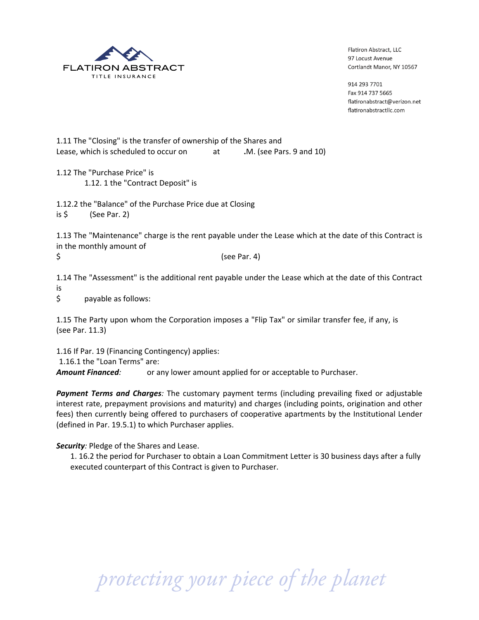

914 293 7701 Fax 914 737 5665 flatironabstract@verizon.net flatironabstractllc.com

1.11 The "Closing" is the transfer of ownership of the Shares and Lease, which is scheduled to occur on .M. (see Pars. 9 and 10) at

1.12 The "Purchase Price" is 1.12. 1 the "Contract Deposit" is

1.12.2 the "Balance" of the Purchase Price due at Closing

is \$ (See Par. 2)

1.13 The "Maintenance" charge is the rent payable under the Lease which at the date of this Contract is in the monthly amount of

\$

(see Par. 4)

1.14 The "Assessment" is the additional rent payable under the Lease which at the date of this Contract **is** 

 $\mathsf{\dot{S}}$ payable as follows:

1.15 The Party upon whom the Corporation imposes a "Flip Tax" or similar transfer fee, if any, is (see Par. 11.3)

1.16 If Par. 19 (Financing Contingency) applies:

1.16.1 the "Loan Terms" are:

**Amount Financed:** or any lower amount applied for or acceptable to Purchaser.

Payment Terms and Charges: The customary payment terms (including prevailing fixed or adjustable interest rate, prepayment provisions and maturity) and charges (including points, origination and other fees) then currently being offered to purchasers of cooperative apartments by the Institutional Lender (defined in Par. 19.5.1) to which Purchaser applies.

# Security: Pledge of the Shares and Lease.

1. 16.2 the period for Purchaser to obtain a Loan Commitment Letter is 30 business days after a fully executed counterpart of this Contract is given to Purchaser.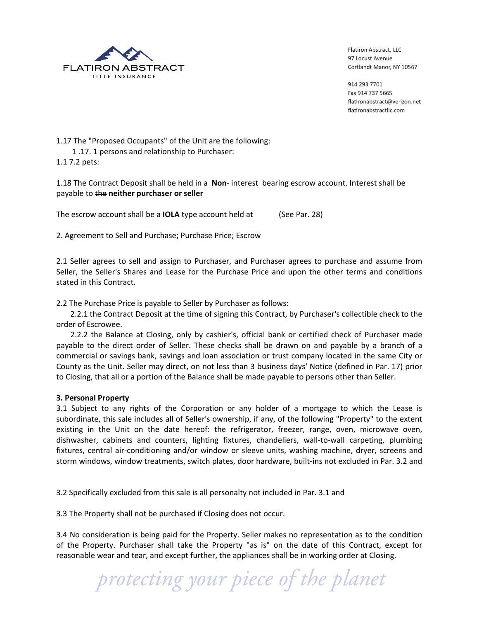

914 293 7701 Fax 914 737 5665 flatironabstract@verizon.net flatironabstractllc.com

1.17 The "Proposed Occupants" of the Unit are the following: 1.17. 1 persons and relationship to Purchaser: 1.1 7.2 pets:

1.18 The Contract Deposit shall be held in a Non-interest bearing escrow account. Interest shall be payable to the neither purchaser or seller

The escrow account shall be a **IOLA** type account held at (See Par. 28)

2. Agreement to Sell and Purchase; Purchase Price; Escrow

2.1 Seller agrees to sell and assign to Purchaser, and Purchaser agrees to purchase and assume from Seller, the Seller's Shares and Lease for the Purchase Price and upon the other terms and conditions stated in this Contract.

2.2 The Purchase Price is payable to Seller by Purchaser as follows:

2.2.1 the Contract Deposit at the time of signing this Contract, by Purchaser's collectible check to the order of Escrowee.

2.2.2 the Balance at Closing, only by cashier's, official bank or certified check of Purchaser made payable to the direct order of Seller. These checks shall be drawn on and payable by a branch of a commercial or savings bank, savings and loan association or trust company located in the same City or County as the Unit. Seller may direct, on not less than 3 business days' Notice (defined in Par. 17) prior to Closing, that all or a portion of the Balance shall be made payable to persons other than Seller.

#### 3. Personal Property

3.1 Subject to any rights of the Corporation or any holder of a mortgage to which the Lease is subordinate, this sale includes all of Seller's ownership, if any, of the following "Property" to the extent existing in the Unit on the date hereof: the refrigerator, freezer, range, oven, microwave oven, dishwasher, cabinets and counters, lighting fixtures, chandeliers, wall-to-wall carpeting, plumbing fixtures, central air-conditioning and/or window or sleeve units, washing machine, dryer, screens and storm windows, window treatments, switch plates, door hardware, built-ins not excluded in Par. 3.2 and

3.2 Specifically excluded from this sale is all personalty not included in Par. 3.1 and

3.3 The Property shall not be purchased if Closing does not occur.

3.4 No consideration is being paid for the Property. Seller makes no representation as to the condition of the Property. Purchaser shall take the Property "as is" on the date of this Contract, except for reasonable wear and tear, and except further, the appliances shall be in working order at Closing.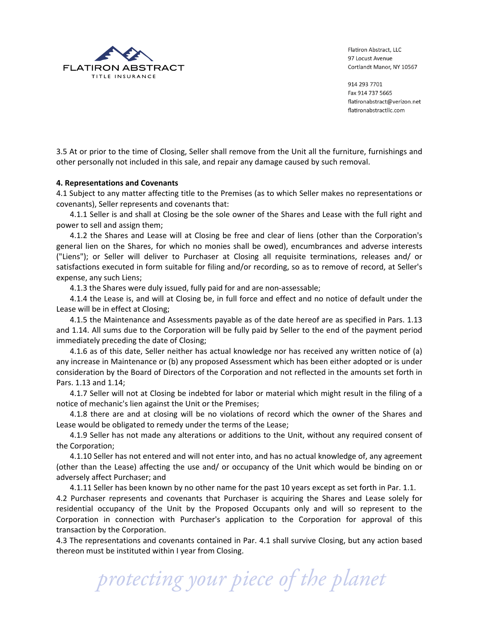

914 293 7701 Fax 914 737 5665 flatironabstract@verizon.net flatironabstractllc.com

3.5 At or prior to the time of Closing, Seller shall remove from the Unit all the furniture, furnishings and other personally not included in this sale, and repair any damage caused by such removal.

#### **4..Representations.and.Covenants**

4.1 Subject to any matter affecting title to the Premises (as to which Seller makes no representations or covenants), Seller represents and covenants that:

4.1.1 Seller is and shall at Closing be the sole owner of the Shares and Lease with the full right and power to sell and assign them;

4.1.2 the Shares and Lease will at Closing be free and clear of liens (other than the Corporation's general lien on the Shares, for which no monies shall be owed), encumbrances and adverse interests ("Liens"); or Seller will deliver to Purchaser at Closing all requisite terminations, releases and/ or satisfactions executed in form suitable for filing and/or recording, so as to remove of record, at Seller's expense, any such Liens;

4.1.3 the Shares were duly issued, fully paid for and are non-assessable;

4.1.4 the Lease is, and will at Closing be, in full force and effect and no notice of default under the Lease will be in effect at Closing;

4.1.5 the Maintenance and Assessments payable as of the date hereof are as specified in Pars. 1.13 and 1.14. All sums due to the Corporation will be fully paid by Seller to the end of the payment period immediately preceding the date of Closing;

4.1.6 as of this date, Seller neither has actual knowledge nor has received any written notice of (a) any increase in Maintenance or (b) any proposed Assessment which has been either adopted or is under consideration by the Board of Directors of the Corporation and not reflected in the amounts set forth in Pars. 1.13 and 1.14;

4.1.7 Seller will not at Closing be indebted for labor or material which might result in the filing of a notice of mechanic's lien against the Unit or the Premises;

4.1.8 there are and at closing will be no violations of record which the owner of the Shares and Lease would be obligated to remedy under the terms of the Lease;

4.1.9 Seller has not made any alterations or additions to the Unit, without any required consent of the Corporation;

4.1.10 Seller has not entered and will not enter into, and has no actual knowledge of, any agreement (other than the Lease) affecting the use and/ or occupancy of the Unit which would be binding on or adversely affect Purchaser; and

4.1.11 Seller has been known by no other name for the past 10 years except as set forth in Par. 1.1.

4.2 Purchaser represents and covenants that Purchaser is acquiring the Shares and Lease solely for residential occupancy of the Unit by the Proposed Occupants only and will so represent to the Corporation in connection with Purchaser's application to the Corporation for approval of this transaction by the Corporation.

4.3 The representations and covenants contained in Par. 4.1 shall survive Closing, but any action based thereon must be instituted within I year from Closing.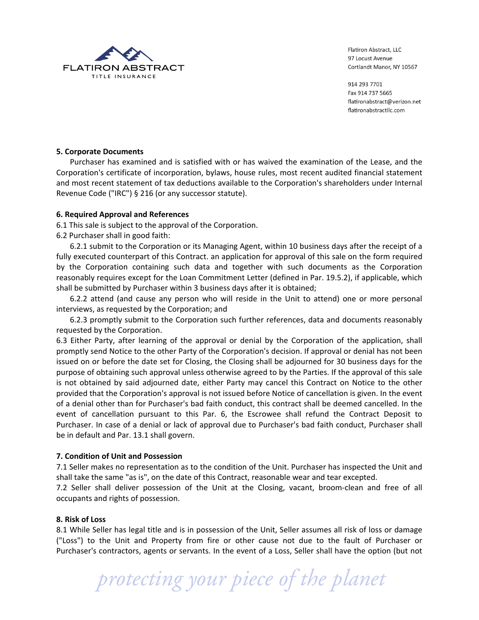

914 293 7701 Fax 914 737 5665 flatironabstract@verizon.net flatironabstractllc.com

## **5..Corporate.Documents**

Purchaser has examined and is satisfied with or has waived the examination of the Lease, and the Corporation's certificate of incorporation, bylaws, house rules, most recent audited financial statement and most recent statement of tax deductions available to the Corporation's shareholders under Internal Revenue Code ("IRC") § 216 (or any successor statute).

## **6..Required.Approval.and.References.**

6.1 This sale is subject to the approval of the Corporation.

6.2 Purchaser shall in good faith:

6.2.1 submit to the Corporation or its Managing Agent, within 10 business days after the receipt of a fully executed counterpart of this Contract. an application for approval of this sale on the form required by the Corporation containing such data and together with such documents as the Corporation reasonably requires except for the Loan Commitment Letter (defined in Par. 19.5.2), if applicable, which shall be submitted by Purchaser within 3 business days after it is obtained;

6.2.2 attend (and cause any person who will reside in the Unit to attend) one or more personal interviews, as requested by the Corporation; and

6.2.3 promptly submit to the Corporation such further references, data and documents reasonably requested by the Corporation.

6.3 Either Party, after learning of the approval or denial by the Corporation of the application, shall promptly send Notice to the other Party of the Corporation's decision. If approval or denial has not been issued on or before the date set for Closing, the Closing shall be adjourned for 30 business days for the purpose of obtaining such approval unless otherwise agreed to by the Parties. If the approval of this sale is not obtained by said adjourned date, either Party may cancel this Contract on Notice to the other provided that the Corporation's approval is not issued before Notice of cancellation is given. In the event of a denial other than for Purchaser's bad faith conduct, this contract shall be deemed cancelled. In the event of cancellation pursuant to this Par. 6, the Escrowee shall refund the Contract Deposit to Purchaser. In case of a denial or lack of approval due to Purchaser's bad faith conduct, Purchaser shall be in default and Par. 13.1 shall govern.

# **7..Condition.of.Unit.and.Possession**

7.1 Seller makes no representation as to the condition of the Unit. Purchaser has inspected the Unit and shall take the same "as is", on the date of this Contract, reasonable wear and tear excepted.

7.2 Seller shall deliver possession of the Unit at the Closing, vacant, broom-clean and free of all occupants and rights of possession.

#### **8..Risk.of.Loss**

8.1 While Seller has legal title and is in possession of the Unit, Seller assumes all risk of loss or damage ("Loss") to the Unit and Property from fire or other cause not due to the fault of Purchaser or Purchaser's contractors, agents or servants. In the event of a Loss, Seller shall have the option (but not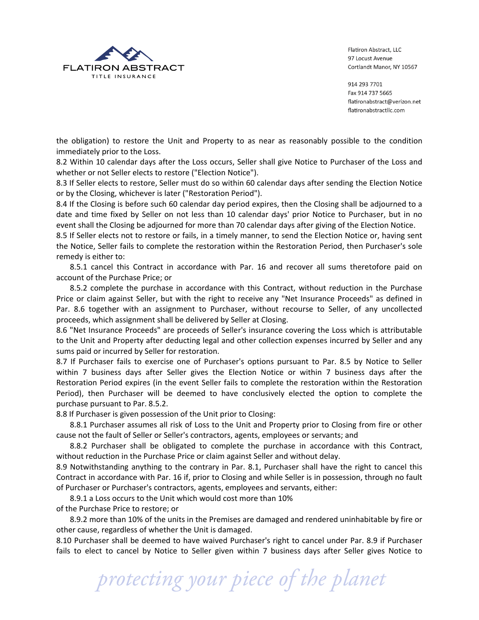

914 293 7701 Fax 914 737 5665 flatironabstract@verizon.net flatironabstractllc.com

the obligation) to restore the Unit and Property to as near as reasonably possible to the condition immediately prior to the Loss.

8.2 Within 10 calendar days after the Loss occurs, Seller shall give Notice to Purchaser of the Loss and whether or not Seller elects to restore ("Election Notice").

8.3 If Seller elects to restore, Seller must do so within 60 calendar days after sending the Election Notice or by the Closing, whichever is later ("Restoration Period").

8.4 If the Closing is before such 60 calendar day period expires, then the Closing shall be adjourned to a date and time fixed by Seller on not less than 10 calendar days' prior Notice to Purchaser, but in no event shall the Closing be adjourned for more than 70 calendar days after giving of the Election Notice.

8.5 If Seller elects not to restore or fails, in a timely manner, to send the Election Notice or, having sent the Notice, Seller fails to complete the restoration within the Restoration Period, then Purchaser's sole remedy is either to:

8.5.1 cancel this Contract in accordance with Par. 16 and recover all sums theretofore paid on account of the Purchase Price; or

8.5.2 complete the purchase in accordance with this Contract, without reduction in the Purchase Price or claim against Seller, but with the right to receive any "Net Insurance Proceeds" as defined in Par. 8.6 together with an assignment to Purchaser, without recourse to Seller, of any uncollected proceeds, which assignment shall be delivered by Seller at Closing.

8.6 "Net Insurance Proceeds" are proceeds of Seller's insurance covering the Loss which is attributable to the Unit and Property after deducting legal and other collection expenses incurred by Seller and any sums paid or incurred by Seller for restoration.

8.7 If Purchaser fails to exercise one of Purchaser's options pursuant to Par. 8.5 by Notice to Seller within 7 business days after Seller gives the Election Notice or within 7 business days after the Restoration Period expires (in the event Seller fails to complete the restoration within the Restoration Period), then Purchaser will be deemed to have conclusively elected the option to complete the purchase pursuant to Par. 8.5.2.

8.8 If Purchaser is given possession of the Unit prior to Closing:

8.8.1 Purchaser assumes all risk of Loss to the Unit and Property prior to Closing from fire or other cause not the fault of Seller or Seller's contractors, agents, employees or servants; and

8.8.2 Purchaser shall be obligated to complete the purchase in accordance with this Contract, without reduction in the Purchase Price or claim against Seller and without delay.

8.9 Notwithstanding anything to the contrary in Par. 8.1, Purchaser shall have the right to cancel this Contract in accordance with Par. 16 if, prior to Closing and while Seller is in possession, through no fault of Purchaser or Purchaser's contractors, agents, employees and servants, either:

8.9.1 a Loss occurs to the Unit which would cost more than 10% of the Purchase Price to restore; or

8.9.2 more than 10% of the units in the Premises are damaged and rendered uninhabitable by fire or other cause, regardless of whether the Unit is damaged.

8.10 Purchaser shall be deemed to have waived Purchaser's right to cancel under Par. 8.9 if Purchaser fails to elect to cancel by Notice to Seller given within 7 business days after Seller gives Notice to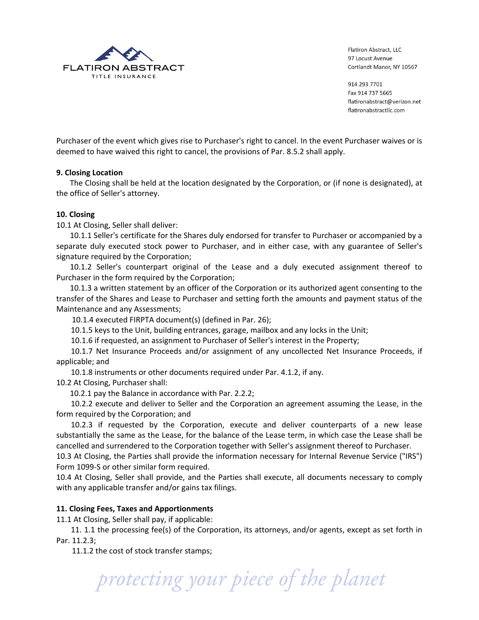

914 293 7701 Fax 914 737 5665 flatironabstract@verizon.net flatironabstractllc.com

Purchaser of the event which gives rise to Purchaser's right to cancel. In the event Purchaser waives or is deemed to have waived this right to cancel, the provisions of Par. 8.5.2 shall apply.

## **9. Closing.Location**

The Closing shall be held at the location designated by the Corporation, or (if none is designated), at the office of Seller's attorney.

## **10..Closing**

10.1 At Closing, Seller shall deliver:

10.1.1 Seller's certificate for the Shares duly endorsed for transfer to Purchaser or accompanied by a separate duly executed stock power to Purchaser, and in either case, with any guarantee of Seller's signature required by the Corporation;

10.1.2 Seller's counterpart original of the Lease and a duly executed assignment thereof to Purchaser in the form required by the Corporation;

10.1.3 a written statement by an officer of the Corporation or its authorized agent consenting to the transfer of the Shares and Lease to Purchaser and setting forth the amounts and payment status of the Maintenance and any Assessments;

10.1.4 executed FIRPTA document(s) (defined in Par. 26);

10.1.5 keys to the Unit, building entrances, garage, mailbox and any locks in the Unit;

10.1.6 if requested, an assignment to Purchaser of Seller's interest in the Property;

10.1.7 Net Insurance Proceeds and/or assignment of any uncollected Net Insurance Proceeds, if applicable; and

10.1.8 instruments or other documents required under Par. 4.1.2, if any.

10.2 At Closing, Purchaser shall:

10.2.1 pay the Balance in accordance with Par. 2.2.2;

10.2.2 execute and deliver to Seller and the Corporation an agreement assuming the Lease, in the form required by the Corporation; and

10.2.3 if requested by the Corporation, execute and deliver counterparts of a new lease substantially the same as the Lease, for the balance of the Lease term, in which case the Lease shall be cancelled and surrendered to the Corporation together with Seller's assignment thereof to Purchaser.

10.3 At Closing, the Parties shall provide the information necessary for Internal Revenue Service ("IRS") Form 1099-S or other similar form required.

10.4 At Closing, Seller shall provide, and the Parties shall execute, all documents necessary to comply with any applicable transfer and/or gains tax filings.

# 11. Closing Fees, Taxes and Apportionments

11.1 At Closing, Seller shall pay, if applicable:

11. 1.1 the processing fee(s) of the Corporation, its attorneys, and/or agents, except as set forth in Par. 11.2.3;

11.1.2 the cost of stock transfer stamps;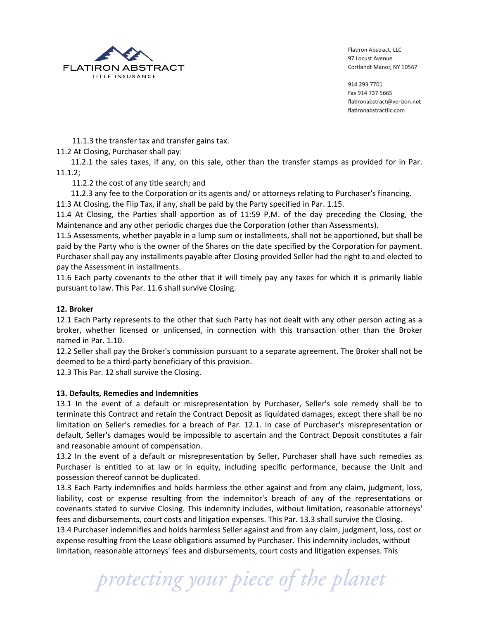

914 293 7701 Fax 914 737 5665 flatironabstract@verizon.net flatironabstractllc.com

11.1.3 the transfer tax and transfer gains tax.

11.2 At Closing, Purchaser shall pay:

11.2.1 the sales taxes, if any, on this sale, other than the transfer stamps as provided for in Par. 11.1.2;

11.2.2 the cost of any title search; and

11.2.3 any fee to the Corporation or its agents and/ or attorneys relating to Purchaser's financing. 11.3 At Closing, the Flip Tax, if any, shall be paid by the Party specified in Par. 1.15.

11.4 At Closing, the Parties shall apportion as of 11:59 P.M. of the day preceding the Closing, the Maintenance and any other periodic charges due the Corporation (other than Assessments).

11.5 Assessments, whether payable in a lump sum or installments, shall not be apportioned, but shall be paid by the Party who is the owner of the Shares on the date specified by the Corporation for payment. Purchaser shall pay any installments payable after Closing provided Seller had the right to and elected to pay the Assessment in installments.

11.6 Each party covenants to the other that it will timely pay any taxes for which it is primarily liable pursuant to law. This Par. 11.6 shall survive Closing.

# **12..Broker**

12.1 Each Party represents to the other that such Party has not dealt with any other person acting as a broker, whether licensed or unlicensed, in connection with this transaction other than the Broker named in Par. 1.10.

12.2 Seller shall pay the Broker's commission pursuant to a separate agreement. The Broker shall not be deemed to be a third-party beneficiary of this provision.

12.3 This Par. 12 shall survive the Closing.

# **13. Defaults,.Remedies.and.Indemnities**

13.1 In the event of a default or misrepresentation by Purchaser, Seller's sole remedy shall be to terminate this Contract and retain the Contract Deposit as liquidated damages, except there shall be no limitation on Seller's remedies for a breach of Par. 12.1. In case of Purchaser's misrepresentation or default, Seller's damages would be impossible to ascertain and the Contract Deposit constitutes a fair and reasonable amount of compensation.

13.2 In the event of a default or misrepresentation by Seller, Purchaser shall have such remedies as Purchaser is entitled to at law or in equity, including specific performance, because the Unit and possession thereof cannot be duplicated.

13.3 Each Party indemnifies and holds harmless the other against and from any claim, judgment, loss, liability, cost or expense resulting from the indemnitor's breach of any of the representations or covenants stated to survive Closing. This indemnity includes, without limitation, reasonable attorneys' fees and disbursements, court costs and litigation expenses. This Par. 13.3 shall survive the Closing. 13.4 Purchaser indemnifies and holds harmless Seller against and from any claim, judgment, loss, cost or expense resulting from the Lease obligations assumed by Purchaser. This indemnity includes, without limitation, reasonable attorneys' fees and disbursements, court costs and litigation expenses. This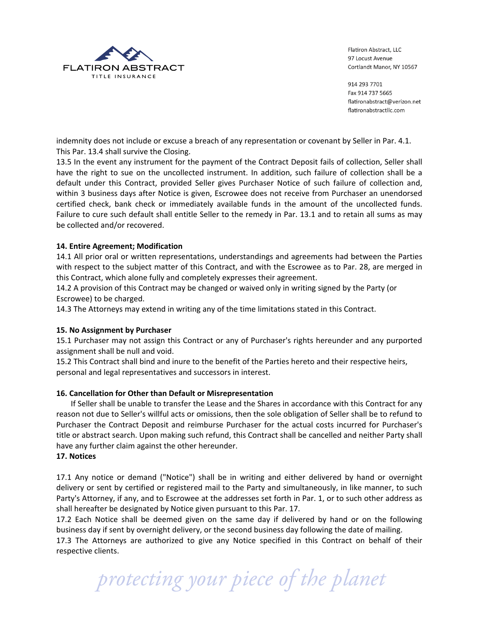

914 293 7701 Fax 914 737 5665 flatironabstract@verizon.net flatironabstractllc.com

indemnity does not include or excuse a breach of any representation or covenant by Seller in Par. 4.1. This Par. 13.4 shall survive the Closing.

13.5 In the event any instrument for the payment of the Contract Deposit fails of collection, Seller shall have the right to sue on the uncollected instrument. In addition, such failure of collection shall be a default under this Contract, provided Seller gives Purchaser Notice of such failure of collection and, within 3 business days after Notice is given, Escrowee does not receive from Purchaser an unendorsed certified check, bank check or immediately available funds in the amount of the uncollected funds. Failure to cure such default shall entitle Seller to the remedy in Par. 13.1 and to retain all sums as may be collected and/or recovered.

# 14. Entire Agreement; Modification

14.1 All prior oral or written representations, understandings and agreements had between the Parties with respect to the subject matter of this Contract, and with the Escrowee as to Par. 28, are merged in this Contract, which alone fully and completely expresses their agreement.

14.2 A provision of this Contract may be changed or waived only in writing signed by the Party (or Escrowee) to be charged.

14.3 The Attorneys may extend in writing any of the time limitations stated in this Contract.

#### 15. No Assignment by Purchaser

15.1 Purchaser may not assign this Contract or any of Purchaser's rights hereunder and any purported assignment shall be null and void.

15.2 This Contract shall bind and inure to the benefit of the Parties hereto and their respective heirs, personal and legal representatives and successors in interest.

#### 16. Cancellation for Other than Default or Misrepresentation

If Seller shall be unable to transfer the Lease and the Shares in accordance with this Contract for any reason not due to Seller's willful acts or omissions, then the sole obligation of Seller shall be to refund to Purchaser the Contract Deposit and reimburse Purchaser for the actual costs incurred for Purchaser's title or abstract search. Upon making such refund, this Contract shall be cancelled and neither Party shall have any further claim against the other hereunder.

#### 17. Notices

17.1 Any notice or demand ("Notice") shall be in writing and either delivered by hand or overnight delivery or sent by certified or registered mail to the Party and simultaneously, in like manner, to such Party's Attorney, if any, and to Escrowee at the addresses set forth in Par. 1, or to such other address as shall hereafter be designated by Notice given pursuant to this Par. 17.

17.2 Each Notice shall be deemed given on the same day if delivered by hand or on the following business day if sent by overnight delivery, or the second business day following the date of mailing.

17.3 The Attorneys are authorized to give any Notice specified in this Contract on behalf of their respective clients.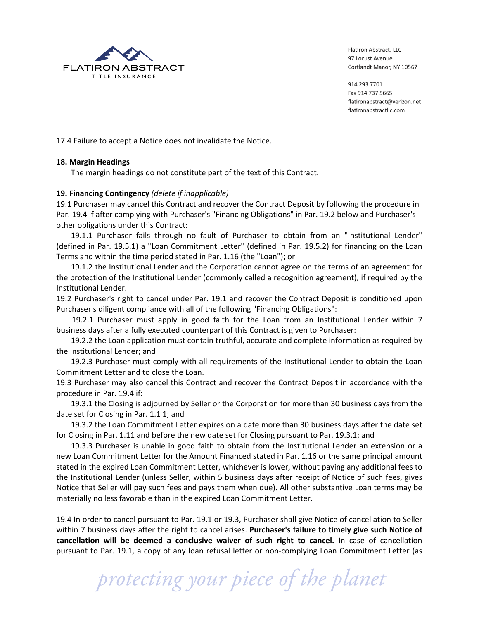

914 293 7701 Fax 914 737 5665 flatironabstract@verizon.net flatironabstractllc.com

17.4 Failure to accept a Notice does not invalidate the Notice.

#### 18. Margin Headings

The margin headings do not constitute part of the text of this Contract.

## 19. Financing Contingency (delete if inapplicable)

19.1 Purchaser may cancel this Contract and recover the Contract Deposit by following the procedure in Par. 19.4 if after complying with Purchaser's "Financing Obligations" in Par. 19.2 below and Purchaser's other obligations under this Contract:

19.1.1 Purchaser fails through no fault of Purchaser to obtain from an "Institutional Lender" (defined in Par. 19.5.1) a "Loan Commitment Letter" (defined in Par. 19.5.2) for financing on the Loan Terms and within the time period stated in Par. 1.16 (the "Loan"); or

19.1.2 the Institutional Lender and the Corporation cannot agree on the terms of an agreement for the protection of the Institutional Lender (commonly called a recognition agreement), if required by the Institutional Lender.

19.2 Purchaser's right to cancel under Par. 19.1 and recover the Contract Deposit is conditioned upon Purchaser's diligent compliance with all of the following "Financing Obligations":

19.2.1 Purchaser must apply in good faith for the Loan from an Institutional Lender within 7 business days after a fully executed counterpart of this Contract is given to Purchaser:

19.2.2 the Loan application must contain truthful, accurate and complete information as required by the Institutional Lender; and

19.2.3 Purchaser must comply with all requirements of the Institutional Lender to obtain the Loan Commitment Letter and to close the Loan.

19.3 Purchaser may also cancel this Contract and recover the Contract Deposit in accordance with the procedure in Par. 19.4 if:

19.3.1 the Closing is adjourned by Seller or the Corporation for more than 30 business days from the date set for Closing in Par. 1.1 1; and

19.3.2 the Loan Commitment Letter expires on a date more than 30 business days after the date set for Closing in Par. 1.11 and before the new date set for Closing pursuant to Par. 19.3.1; and

19.3.3 Purchaser is unable in good faith to obtain from the Institutional Lender an extension or a new Loan Commitment Letter for the Amount Financed stated in Par. 1.16 or the same principal amount stated in the expired Loan Commitment Letter, whichever is lower, without paying any additional fees to the Institutional Lender (unless Seller, within 5 business days after receipt of Notice of such fees, gives Notice that Seller will pay such fees and pays them when due). All other substantive Loan terms may be materially no less favorable than in the expired Loan Commitment Letter.

19.4 In order to cancel pursuant to Par. 19.1 or 19.3, Purchaser shall give Notice of cancellation to Seller within 7 business days after the right to cancel arises. Purchaser's failure to timely give such Notice of cancellation will be deemed a conclusive waiver of such right to cancel. In case of cancellation pursuant to Par. 19.1, a copy of any loan refusal letter or non-complying Loan Commitment Letter (as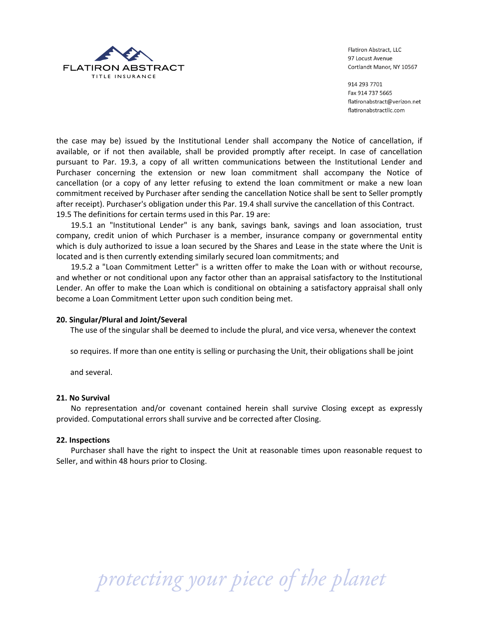

914 293 7701 Fax 914 737 5665 flatironabstract@verizon.net flatironabstractllc.com

the case may be) issued by the Institutional Lender shall accompany the Notice of cancellation, if available, or if not then available, shall be provided promptly after receipt. In case of cancellation pursuant to Par. 19.3, a copy of all written communications between the Institutional Lender and Purchaser concerning the extension or new loan commitment shall accompany the Notice of cancellation (or a copy of any letter refusing to extend the loan commitment or make a new loan commitment received by Purchaser after sending the cancellation Notice shall be sent to Seller promptly after receipt). Purchaser's obligation under this Par. 19.4 shall survive the cancellation of this Contract. 19.5 The definitions for certain terms used in this Par. 19 are:

19.5.1 an "Institutional Lender" is any bank, savings bank, savings and loan association, trust company, credit union of which Purchaser is a member, insurance company or governmental entity which is duly authorized to issue a loan secured by the Shares and Lease in the state where the Unit is located and is then currently extending similarly secured loan commitments; and

19.5.2 a "Loan Commitment Letter" is a written offer to make the Loan with or without recourse, and whether or not conditional upon any factor other than an appraisal satisfactory to the Institutional Lender. An offer to make the Loan which is conditional on obtaining a satisfactory appraisal shall only become a Loan Commitment Letter upon such condition being met.

#### **20. Singular/Plural.and.Joint/Several**

The use of the singular shall be deemed to include the plural, and vice versa, whenever the context

so requires. If more than one entity is selling or purchasing the Unit, their obligations shall be joint

and several.

#### **21. No.Survival**

No representation and/or covenant contained herein shall survive Closing except as expressly provided. Computational errors shall survive and be corrected after Closing.

#### **22. Inspections**

Purchaser shall have the right to inspect the Unit at reasonable times upon reasonable request to Seller, and within 48 hours prior to Closing.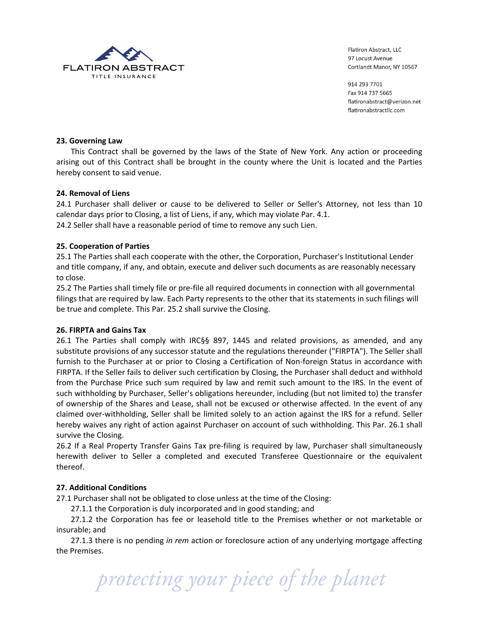

914 293 7701 Fax 914 737 5665 flatironabstract@verizon.net flatironabstractllc.com

## **23. Governing.Law**

This Contract shall be governed by the laws of the State of New York. Any action or proceeding arising out of this Contract shall be brought in the county where the Unit is located and the Parties hereby consent to said venue.

## **24..Removal.of.Liens**

24.1 Purchaser shall deliver or cause to be delivered to Seller or Seller's Attorney, not less than 10 calendar days prior to Closing, a list of Liens, if any, which may violate Par. 4.1.

24.2 Seller shall have a reasonable period of time to remove any such Lien.

## **25. Cooperation.of.Parties**

25.1 The Parties shall each cooperate with the other, the Corporation, Purchaser's Institutional Lender and title company, if any, and obtain, execute and deliver such documents as are reasonably necessary to close.

25.2 The Parties shall timely file or pre-file all required documents in connection with all governmental filings that are required by law. Each Party represents to the other that its statements in such filings will be true and complete. This Par. 25.2 shall survive the Closing.

#### **26. FIRPTA.and.Gains.Tax**

26.1 The Parties shall comply with IRC§§ 897, 1445 and related provisions, as amended, and any substitute provisions of any successor statute and the regulations thereunder ("FIRPTA"). The Seller shall furnish to the Purchaser at or prior to Closing a Certification of Non-foreign Status in accordance with FIRPTA. If the Seller fails to deliver such certification by Closing, the Purchaser shall deduct and withhold from the Purchase Price such sum required by law and remit such amount to the IRS. In the event of such withholding by Purchaser, Seller's obligations hereunder, including (but not limited to) the transfer of ownership of the Shares and Lease, shall not be excused or otherwise affected. In the event of any claimed over-withholding, Seller shall be limited solely to an action against the IRS for a refund. Seller hereby waives any right of action against Purchaser on account of such withholding. This Par. 26.1 shall survive the Closing.

26.2 If a Real Property Transfer Gains Tax pre-filing is required by law, Purchaser shall simultaneously herewith deliver to Seller a completed and executed Transferee Questionnaire or the equivalent thereof.

# **27. Additional.Conditions**

27.1 Purchaser shall not be obligated to close unless at the time of the Closing:

27.1.1 the Corporation is duly incorporated and in good standing; and

27.1.2 the Corporation has fee or leasehold title to the Premises whether or not marketable or insurable; and

27.1.3 there is no pending *in rem* action or foreclosure action of any underlying mortgage affecting the Premises.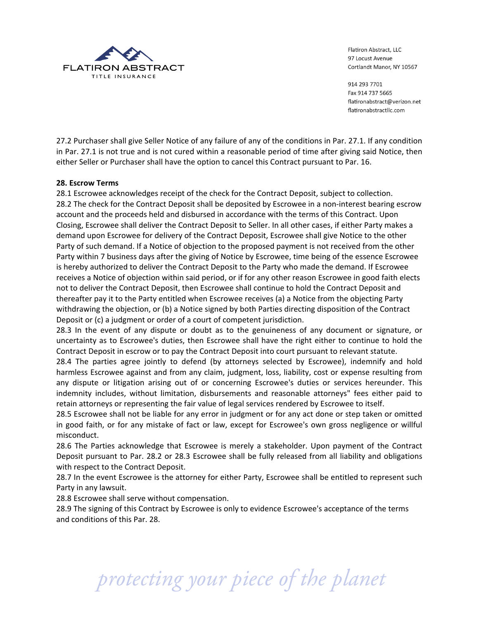

914 293 7701 Fax 914 737 5665 flatironabstract@verizon.net flatironabstractllc.com

27.2 Purchaser shall give Seller Notice of any failure of any of the conditions in Par. 27.1. If any condition in Par. 27.1 is not true and is not cured within a reasonable period of time after giving said Notice, then either Seller or Purchaser shall have the option to cancel this Contract pursuant to Par. 16.

# 28. Escrow Terms

28.1 Escrowee acknowledges receipt of the check for the Contract Deposit, subject to collection. 28.2 The check for the Contract Deposit shall be deposited by Escrowee in a non-interest bearing escrow account and the proceeds held and disbursed in accordance with the terms of this Contract. Upon Closing, Escrowee shall deliver the Contract Deposit to Seller. In all other cases, if either Party makes a demand upon Escrowee for delivery of the Contract Deposit, Escrowee shall give Notice to the other Party of such demand. If a Notice of objection to the proposed payment is not received from the other Party within 7 business days after the giving of Notice by Escrowee, time being of the essence Escrowee is hereby authorized to deliver the Contract Deposit to the Party who made the demand. If Escrowee receives a Notice of objection within said period, or if for any other reason Escrowee in good faith elects not to deliver the Contract Deposit, then Escrowee shall continue to hold the Contract Deposit and thereafter pay it to the Party entitled when Escrowee receives (a) a Notice from the objecting Party withdrawing the objection, or (b) a Notice signed by both Parties directing disposition of the Contract Deposit or (c) a judgment or order of a court of competent jurisdiction.

28.3 In the event of any dispute or doubt as to the genuineness of any document or signature, or uncertainty as to Escrowee's duties, then Escrowee shall have the right either to continue to hold the Contract Deposit in escrow or to pay the Contract Deposit into court pursuant to relevant statute.

28.4 The parties agree jointly to defend (by attorneys selected by Escrowee), indemnify and hold harmless Escrowee against and from any claim, judgment, loss, liability, cost or expense resulting from any dispute or litigation arising out of or concerning Escrowee's duties or services hereunder. This indemnity includes, without limitation, disbursements and reasonable attorneys" fees either paid to retain attorneys or representing the fair value of legal services rendered by Escrowee to itself.

28.5 Escrowee shall not be liable for any error in judgment or for any act done or step taken or omitted in good faith, or for any mistake of fact or law, except for Escrowee's own gross negligence or willful misconduct.

28.6 The Parties acknowledge that Escrowee is merely a stakeholder. Upon payment of the Contract Deposit pursuant to Par. 28.2 or 28.3 Escrowee shall be fully released from all liability and obligations with respect to the Contract Deposit.

28.7 In the event Escrowee is the attorney for either Party, Escrowee shall be entitled to represent such Party in any lawsuit.

28.8 Escrowee shall serve without compensation.

28.9 The signing of this Contract by Escrowee is only to evidence Escrowee's acceptance of the terms and conditions of this Par. 28.